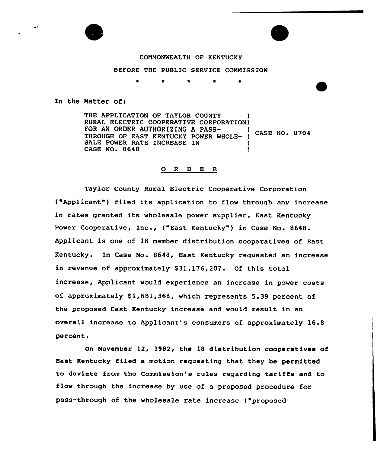

# COMMONWEALTH OF KENTUCKY

BEFORE THE PUBLIC SERVICE COMMISSION

In the Natter of:

THE APPLICATION OF TAYLOR COUNTY RURAL ELECTRIC COOPERATIVE CORPORATION)<br>FOR AN ORDER AUTHORIZING A PASS-TOR AN ORDER AUTHORIZING A PASS-<br>THROUGH OF EAST KENTUCKY POWER WHOLE- ) CASE NO. 8704 SALE POWER RATE INCREASE IN (1) CASE NO. 8648

#### 0 <sup>R</sup> <sup>D</sup> E R

Taylor County Rural Electric Cooperative Corporation ("Applicant") filed its application to flow through any increase in rates granted its wholesale power supplier, East Kentucky Power Coopexative, Inc., ("East Kentucky" ) in Case No. 8648. Applicant is one of 18 member distribution cooperatives of East Kentucky. In Case No. 8648, East Kentucky requested an increase in revenue of approximately \$31,176,207. Of this total increase, Applicant would experience an increase in power costs of approximately \$1,681,368, which represents 5.39 percent of the proposed East Kentucky increase and would result in an overall increase to Applicant's consumers of approximately 16.8 percent.

On November 12, 1982, the 18 distribution cooperatives of East Kentucky filed a motion requesting that they be permitted to deviate from the Commission's rules regarding tariffs and to flow through the increase by use of a proposed procedure for pass-through of the wholesale rate increase ("proposed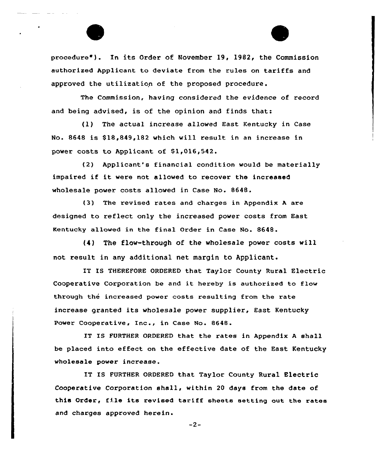procedure"). In its Order of November 19, 1982, the Commission authorized Applicant to deviate from the rules on tariffs and approved the utilization of the proposed procedure.

The Commission, having considered the evidence of record and being advised, is of the opinion and finds that:

(1) The actual increase allowed East Kentucky in Case No. 8648 is \$ 18,849,182 which will result in an increase in power costs to Applicant of \$1,016,542.

{2) Applicant's financial condition would be materially impaired if it were not allowed to recover the increased wholesale power costs allowed in Case No. 8648.

(3) The revised rates and charges in Appendix <sup>A</sup> are designed to reflect only the increased power costs from East Kentucky allowed in the fina1 order in Case No. 8648.

(4) The flow-through of the wholesale power costs will not result in any additional net margin to Applicant.

IT IS THEREFORE ORDERED that Taylor County Rural Electric Cooperative Corporation be and it hereby is authorized to flow through the increased power costs resulting from the rate increase granted its wholesale power supplier, East Kentucky Power Cooperative, Inc., in Case No. 8648.

IT IS FURTHER ORDERED that the rates in Appendix <sup>A</sup> shall be placed into effect on the effective date of the East Kentucky wholesale power increase.

IT IS FURTHER ORDERED that Taylor County Rural Electric Cooperative Corporation shall, within 20 days from the date of this Order, file its revised tariff sheets setting out the rates and charges approved herein.

-2-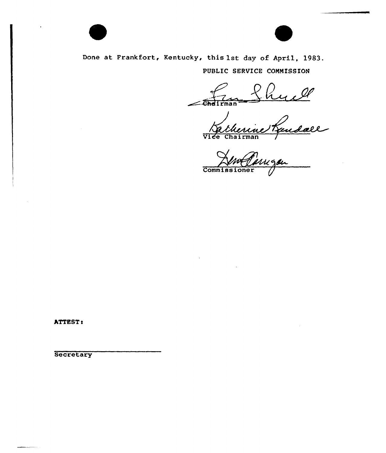

Done at Frankfort, Kentucky, this 1st day of April, 1983. PUBLIC SERVICE CONMISSION

Vice Chairman

**Commissione** 

hTTEST!

**Secretary**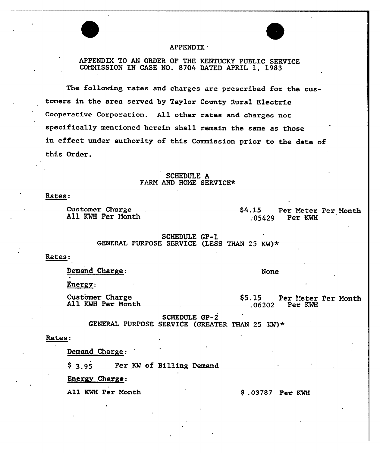

## APPENDIX

## 'PPENDIX TO AN ORDER OF THE KENTUCKY PUBLIC SERVICE COMMISSION IN CASE NO. 8704 DATED APRIL 1, 1983

The folloving rates and charges are prescribed for the customers in the area served by Taylor County Rural Electric Cooperative Corporation. All other rates and charges not specifically mentioned herein shall remain the same as those in effect undex authority of this Commission prior to the date of this Oxder.

#### SCHEDULE A FARM AND HOME SERVICE\*

#### Rates:

Customex Chaxge All KMH Per Honth \$4.15 Per Meter Per Month<br>.05429 Per KWH Per KWH

> SCHEDULE GP-1 GENERAL PURPOSE SERVICE (LESS THAN 25 KN)\*

#### Rates:

Demand Charge:

Energy:

Customer Charge<br>All KWH Per Month

\$5.15 Per Meter Per Month<br>.06202 Per KWH Per KWH

SCHEDULE GP-2

GENERAL PURPOSE SERVICE (GREATER THAN 25 KW)  $\star$ 

#### Rates:

Demand Charge:

\$ 3.95 Per KW of Billing Demand

Energy Charge:

All KWH Per Month 9 .03787 Per KWH

None